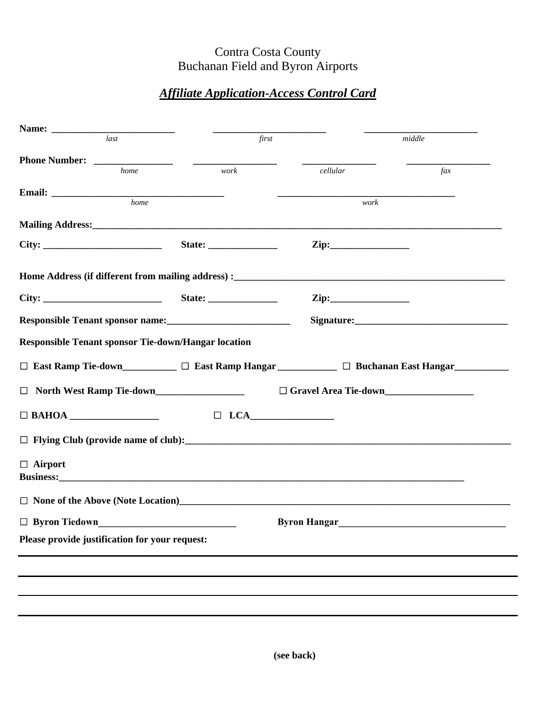## Contra Costa County Buchanan Field and Byron Airports

## *Affiliate Application-Access Control Card*

| last                                                                                          | first |                     | middle    |  |
|-----------------------------------------------------------------------------------------------|-------|---------------------|-----------|--|
|                                                                                               |       |                     |           |  |
| home                                                                                          | work  | cellular            | $\int ax$ |  |
| Email:<br>home                                                                                |       | work                |           |  |
|                                                                                               |       |                     |           |  |
|                                                                                               |       | $\mathbf{Zip:}$     |           |  |
|                                                                                               |       |                     |           |  |
|                                                                                               |       |                     |           |  |
|                                                                                               |       | $\mathbf{Zip:}$     |           |  |
|                                                                                               |       |                     |           |  |
| <b>Responsible Tenant sponsor Tie-down/Hangar location</b>                                    |       |                     |           |  |
|                                                                                               |       |                     |           |  |
| □ East Ramp Tie-down__________ □ East Ramp Hangar __________ □ Buchanan East Hangar__________ |       |                     |           |  |
| □ North West Ramp Tie-down                                                                    |       |                     |           |  |
|                                                                                               |       |                     |           |  |
|                                                                                               |       |                     |           |  |
|                                                                                               |       |                     |           |  |
| $\Box$ Airport                                                                                |       |                     |           |  |
|                                                                                               |       |                     |           |  |
|                                                                                               |       |                     |           |  |
|                                                                                               |       | <b>Byron Hangar</b> |           |  |
| $\Box$ Byron Tiedown                                                                          |       |                     |           |  |